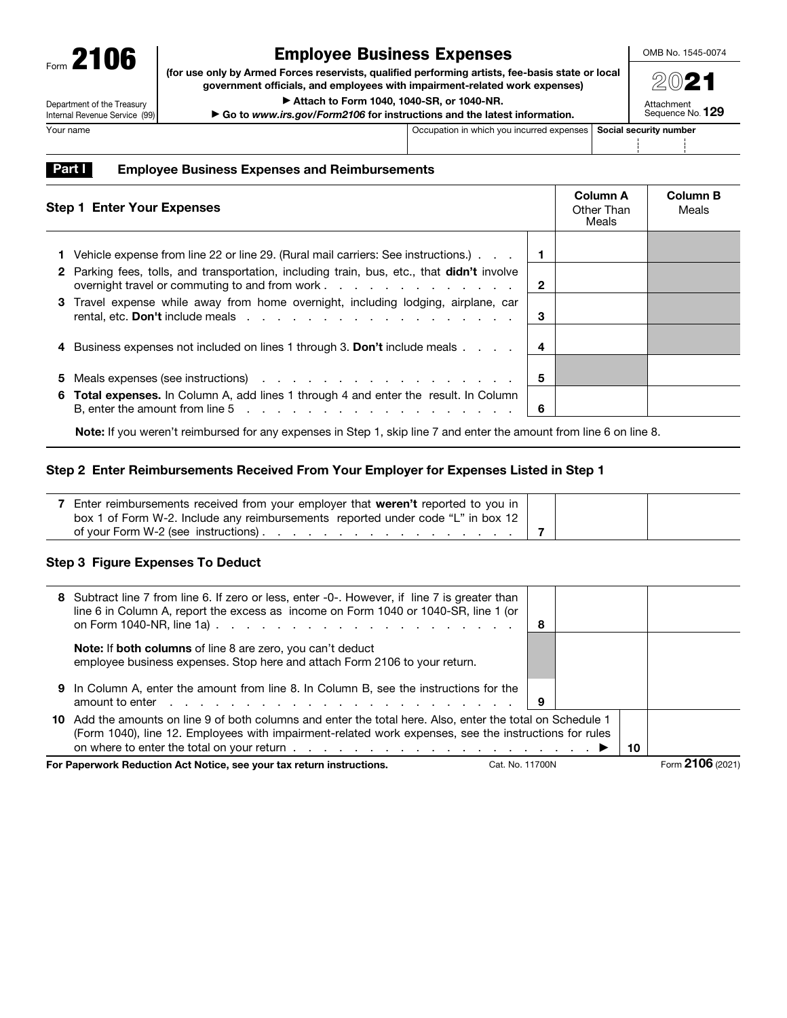Form 2106

Department of the Treasury Internal Revenue Service (99)

# Employee Business Expenses

OMB No. 1545-0074

2021

(for use only by Armed Forces reservists, qualified performing artists, fee-basis state or local government officials, and employees with impairment-related work expenses)

▶ Attach to Form 1040, 1040-SR, or 1040-NR.

▶ Go to *www.irs.gov/Form2106* for instructions and the latest information.

Attachment<br>Sequence No. **129** Your name **Occupation in which you incurred expenses Social security number**  $\bigcirc$  Occupation in which you incurred expenses **Social security number** 

# Part **Employee Business Expenses and Reimbursements**

| <b>Step 1 Enter Your Expenses</b> |                                                                                                                                                     |   | Column A<br>Other Than<br>Meals | <b>Column B</b><br>Meals |
|-----------------------------------|-----------------------------------------------------------------------------------------------------------------------------------------------------|---|---------------------------------|--------------------------|
|                                   | Vehicle expense from line 22 or line 29. (Rural mail carriers: See instructions.)                                                                   |   |                                 |                          |
|                                   | 2 Parking fees, tolls, and transportation, including train, bus, etc., that <b>didn't</b> involve<br>overnight travel or commuting to and from work | 2 |                                 |                          |
|                                   | 3 Travel expense while away from home overnight, including lodging, airplane, car                                                                   | 3 |                                 |                          |
| 4                                 | Business expenses not included on lines 1 through 3. Don't include meals                                                                            | 4 |                                 |                          |
| 5.                                |                                                                                                                                                     | 5 |                                 |                          |
| 6                                 | <b>Total expenses.</b> In Column A, add lines 1 through 4 and enter the result. In Column                                                           | 6 |                                 |                          |
|                                   | Note: If you weren't reimbursed for any expenses in Step 1, skip line 7 and enter the amount from line 6 on line 8.                                 |   |                                 |                          |

# Step 2 Enter Reimbursements Received From Your Employer for Expenses Listed in Step 1

| 7 Enter reimbursements received from your employer that weren't reported to you in |  |  |
|------------------------------------------------------------------------------------|--|--|
| box 1 of Form W-2. Include any reimbursements reported under code "L" in box 12    |  |  |
|                                                                                    |  |  |

# Step 3 Figure Expenses To Deduct

| For Paperwork Reduction Act Notice, see your tax return instructions.<br>Cat. No. 11700N                                                                                                                                                                                                                                                                                                                                                              |    |    | Form 2106 (2021) |
|-------------------------------------------------------------------------------------------------------------------------------------------------------------------------------------------------------------------------------------------------------------------------------------------------------------------------------------------------------------------------------------------------------------------------------------------------------|----|----|------------------|
| 10 Add the amounts on line 9 of both columns and enter the total here. Also, enter the total on Schedule 1<br>(Form 1040), line 12. Employees with impairment-related work expenses, see the instructions for rules<br>on where to enter the total on your return end on the control of the control of the control of the control of the control of the control of the control of the control of the control of the control of the control of the con |    | 10 |                  |
| <b>9</b> In Column A, enter the amount from line 8. In Column B, see the instructions for the<br>amount to enter $\cdots$ $\cdots$ $\cdots$ $\cdots$ $\cdots$ $\cdots$ $\cdots$ $\cdots$ $\cdots$ $\cdots$ $\left  \right.$ 9                                                                                                                                                                                                                         |    |    |                  |
| <b>Note:</b> If <b>both columns</b> of line 8 are zero, you can't deduct<br>employee business expenses. Stop here and attach Form 2106 to your return.                                                                                                                                                                                                                                                                                                |    |    |                  |
| 8 Subtract line 7 from line 6. If zero or less, enter -0-. However, if line 7 is greater than<br>line 6 in Column A, report the excess as income on Form 1040 or 1040-SR, line 1 (or<br>on Form 1040-NR, line 1a) $\ldots$ $\ldots$ $\ldots$ $\ldots$ $\ldots$ $\ldots$ $\ldots$ $\ldots$ $\ldots$                                                                                                                                                    | -8 |    |                  |
|                                                                                                                                                                                                                                                                                                                                                                                                                                                       |    |    |                  |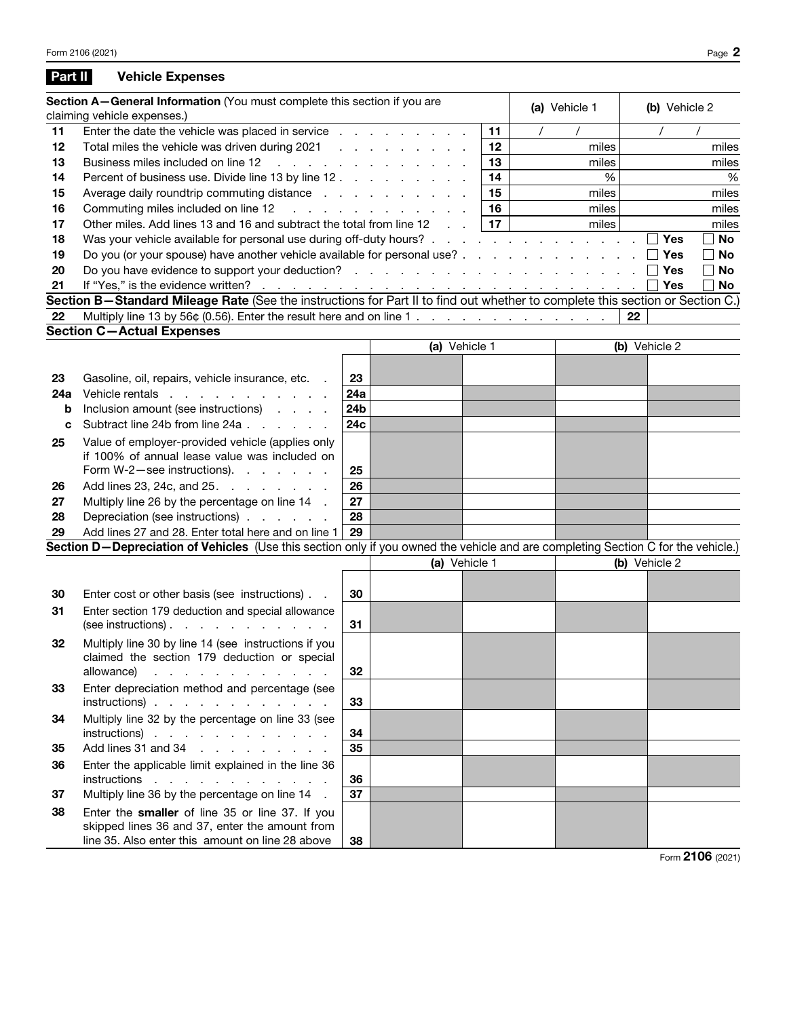# Part II Vehicle Expenses

|     | Section A-General Information (You must complete this section if you are<br>claiming vehicle expenses.)                           |                 |                                                                                                                                                                                                                                |    | (a) Vehicle 1 |    | (b) Vehicle 2 |           |
|-----|-----------------------------------------------------------------------------------------------------------------------------------|-----------------|--------------------------------------------------------------------------------------------------------------------------------------------------------------------------------------------------------------------------------|----|---------------|----|---------------|-----------|
| 11  | Enter the date the vehicle was placed in service                                                                                  |                 |                                                                                                                                                                                                                                | 11 | $\prime$      |    |               |           |
| 12  | Total miles the vehicle was driven during 2021                                                                                    |                 |                                                                                                                                                                                                                                | 12 | miles         |    |               | miles     |
| 13  | Business miles included on line 12                                                                                                |                 | and the contract of the contract of the contract of the contract of the contract of the contract of the contract of the contract of the contract of the contract of the contract of the contract of the contract of the contra | 13 | miles         |    |               | miles     |
| 14  | Percent of business use. Divide line 13 by line 12                                                                                |                 |                                                                                                                                                                                                                                | 14 | %             |    |               | %         |
| 15  | Average daily roundtrip commuting distance                                                                                        |                 |                                                                                                                                                                                                                                | 15 | miles         |    |               | miles     |
| 16  | Commuting miles included on line 12                                                                                               |                 | and the company of the company of                                                                                                                                                                                              | 16 | miles         |    |               | miles     |
| 17  | Other miles. Add lines 13 and 16 and subtract the total from line 12                                                              |                 |                                                                                                                                                                                                                                | 17 | miles         |    |               | miles     |
| 18  |                                                                                                                                   |                 |                                                                                                                                                                                                                                |    |               |    | Yes           | No        |
| 19  | Do you (or your spouse) have another vehicle available for personal use? $\ldots$ , $\ldots$ , $\ldots$ , $\ldots$                |                 |                                                                                                                                                                                                                                |    |               |    |               | $\Box$ No |
| 20  |                                                                                                                                   |                 |                                                                                                                                                                                                                                |    |               |    | ∣ ∣Yes        | $\Box$ No |
| 21  |                                                                                                                                   |                 |                                                                                                                                                                                                                                |    |               |    | ∣∣Yes         | No        |
|     | Section B-Standard Mileage Rate (See the instructions for Part II to find out whether to complete this section or Section C.)     |                 |                                                                                                                                                                                                                                |    |               |    |               |           |
| 22  | Multiply line 13 by 56¢ (0.56). Enter the result here and on line 1.                                                              |                 |                                                                                                                                                                                                                                |    |               | 22 |               |           |
|     | <b>Section C-Actual Expenses</b>                                                                                                  |                 |                                                                                                                                                                                                                                |    |               |    |               |           |
|     |                                                                                                                                   |                 | (a) Vehicle 1                                                                                                                                                                                                                  |    |               |    | (b) Vehicle 2 |           |
|     |                                                                                                                                   |                 |                                                                                                                                                                                                                                |    |               |    |               |           |
| 23  | Gasoline, oil, repairs, vehicle insurance, etc. .                                                                                 | 23              |                                                                                                                                                                                                                                |    |               |    |               |           |
| 24a | Vehicle rentals                                                                                                                   | 24a             |                                                                                                                                                                                                                                |    |               |    |               |           |
| b   | Inclusion amount (see instructions)                                                                                               | 24b             |                                                                                                                                                                                                                                |    |               |    |               |           |
| c   | Subtract line 24b from line 24a                                                                                                   | 24 <sub>c</sub> |                                                                                                                                                                                                                                |    |               |    |               |           |
| 25  | Value of employer-provided vehicle (applies only                                                                                  |                 |                                                                                                                                                                                                                                |    |               |    |               |           |
|     | if 100% of annual lease value was included on                                                                                     |                 |                                                                                                                                                                                                                                |    |               |    |               |           |
|     | Form W-2-see instructions).                                                                                                       | 25              |                                                                                                                                                                                                                                |    |               |    |               |           |
| 26  | Add lines 23, 24c, and 25.                                                                                                        | 26              |                                                                                                                                                                                                                                |    |               |    |               |           |
| 27  | Multiply line 26 by the percentage on line 14 .                                                                                   | 27              |                                                                                                                                                                                                                                |    |               |    |               |           |
| 28  | Depreciation (see instructions)                                                                                                   | 28              |                                                                                                                                                                                                                                |    |               |    |               |           |
| 29  | Add lines 27 and 28. Enter total here and on line 1                                                                               | 29              |                                                                                                                                                                                                                                |    |               |    |               |           |
|     | Section D-Depreciation of Vehicles (Use this section only if you owned the vehicle and are completing Section C for the vehicle.) |                 |                                                                                                                                                                                                                                |    |               |    |               |           |
|     |                                                                                                                                   |                 | (a) Vehicle 1                                                                                                                                                                                                                  |    |               |    | (b) Vehicle 2 |           |
|     |                                                                                                                                   |                 |                                                                                                                                                                                                                                |    |               |    |               |           |
| 30  | Enter cost or other basis (see instructions)                                                                                      | 30              |                                                                                                                                                                                                                                |    |               |    |               |           |
| 31  | Enter section 179 deduction and special allowance                                                                                 |                 |                                                                                                                                                                                                                                |    |               |    |               |           |
|     | $(see$ instructions).                                                                                                             | 31              |                                                                                                                                                                                                                                |    |               |    |               |           |
| 32  | Multiply line 30 by line 14 (see instructions if you                                                                              |                 |                                                                                                                                                                                                                                |    |               |    |               |           |
|     | claimed the section 179 deduction or special                                                                                      |                 |                                                                                                                                                                                                                                |    |               |    |               |           |
|     | allowance)<br>and the contract of the contract of the con-                                                                        | 32              |                                                                                                                                                                                                                                |    |               |    |               |           |
| 33  | Enter depreciation method and percentage (see                                                                                     |                 |                                                                                                                                                                                                                                |    |               |    |               |           |
|     | $instructions)$                                                                                                                   | 33              |                                                                                                                                                                                                                                |    |               |    |               |           |
| 34  | Multiply line 32 by the percentage on line 33 (see<br>$instructions)$                                                             | 34              |                                                                                                                                                                                                                                |    |               |    |               |           |
| 35  | Add lines 31 and 34                                                                                                               | 35              |                                                                                                                                                                                                                                |    |               |    |               |           |
| 36  |                                                                                                                                   |                 |                                                                                                                                                                                                                                |    |               |    |               |           |
|     | Enter the applicable limit explained in the line 36<br>instructions                                                               | 36              |                                                                                                                                                                                                                                |    |               |    |               |           |
| 37  | Multiply line 36 by the percentage on line 14 .                                                                                   | 37              |                                                                                                                                                                                                                                |    |               |    |               |           |
| 38  | Enter the smaller of line 35 or line 37. If you                                                                                   |                 |                                                                                                                                                                                                                                |    |               |    |               |           |
|     | skipped lines 36 and 37, enter the amount from                                                                                    |                 |                                                                                                                                                                                                                                |    |               |    |               |           |
|     | line 35. Also enter this amount on line 28 above                                                                                  | 38              |                                                                                                                                                                                                                                |    |               |    |               |           |
|     |                                                                                                                                   |                 |                                                                                                                                                                                                                                |    |               |    |               |           |

Form 2106 (2021)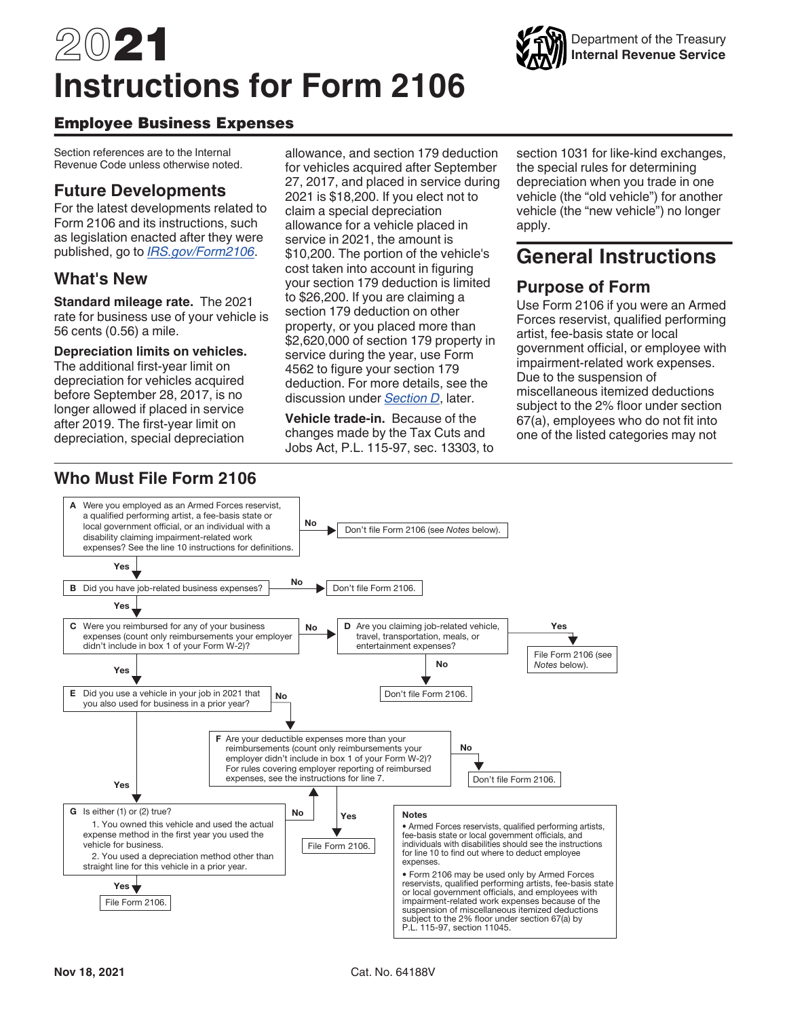# 2021 **Instructions for Form 2106**

# Employee Business Expenses

Section references are to the Internal Revenue Code unless otherwise noted.

# **Future Developments**

For the latest developments related to Form 2106 and its instructions, such as legislation enacted after they were published, go to *[IRS.gov/Form2106](https://www.irs.gov/forms-pubs/about-form-2106)*.

# **What's New**

**Standard mileage rate.** The 2021 rate for business use of your vehicle is 56 cents (0.56) a mile.

# **Depreciation limits on vehicles.**

The additional first-year limit on depreciation for vehicles acquired before September 28, 2017, is no longer allowed if placed in service after 2019. The first-year limit on depreciation, special depreciation

# **Who Must File Form 2106**

allowance, and section 179 deduction for vehicles acquired after September 27, 2017, and placed in service during 2021 is \$18,200. If you elect not to claim a special depreciation allowance for a vehicle placed in service in 2021, the amount is \$10,200. The portion of the vehicle's cost taken into account in figuring your section 179 deduction is limited to \$26,200. If you are claiming a section 179 deduction on other property, or you placed more than \$2,620,000 of section 179 property in service during the year, use Form 4562 to figure your section 179 deduction. For more details, see the discussion under *Section D*, later.

**Vehicle trade-in.** Because of the changes made by the Tax Cuts and Jobs Act, P.L. 115-97, sec. 13303, to section 1031 for like-kind exchanges, the special rules for determining depreciation when you trade in one vehicle (the "old vehicle") for another vehicle (the "new vehicle") no longer apply.

# **General Instructions**

# **Purpose of Form**

Use Form 2106 if you were an Armed Forces reservist, qualified performing artist, fee-basis state or local government official, or employee with impairment-related work expenses. Due to the suspension of miscellaneous itemized deductions subject to the 2% floor under section 67(a), employees who do not fit into one of the listed categories may not



Department of the Treasury **Internal Revenue Service**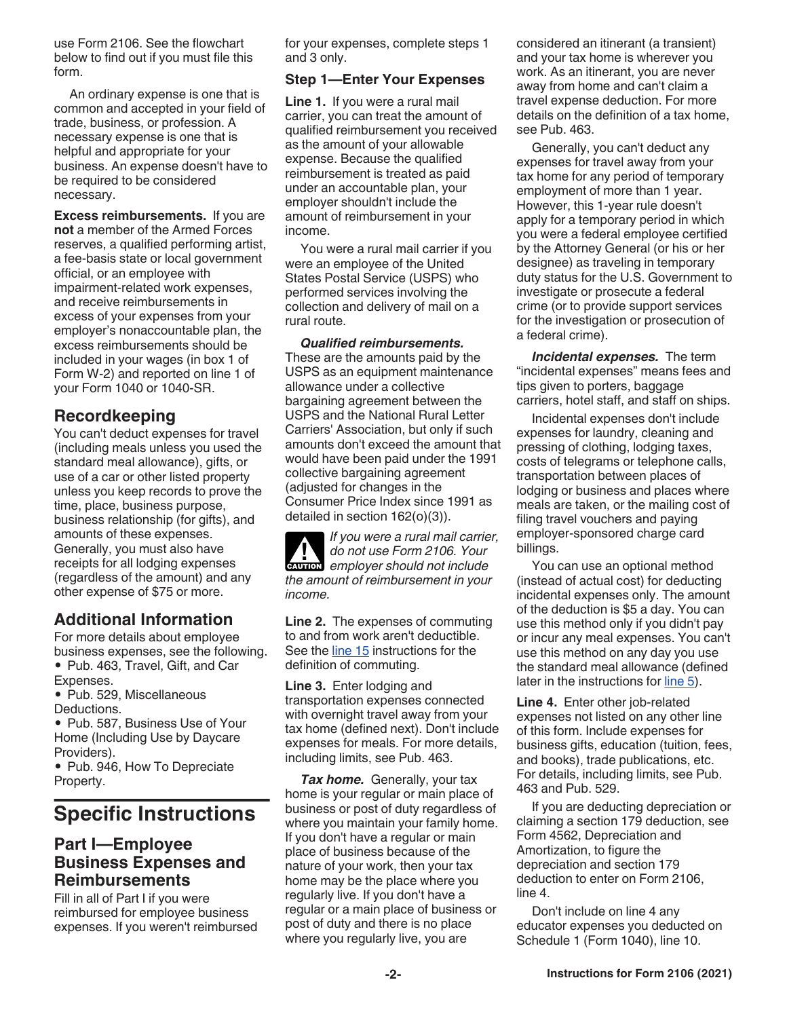use Form 2106. See the flowchart below to find out if you must file this form.

An ordinary expense is one that is common and accepted in your field of trade, business, or profession. A necessary expense is one that is helpful and appropriate for your business. An expense doesn't have to be required to be considered necessary.

**Excess reimbursements.** If you are **not** a member of the Armed Forces reserves, a qualified performing artist, a fee-basis state or local government official, or an employee with impairment-related work expenses, and receive reimbursements in excess of your expenses from your employer's nonaccountable plan, the excess reimbursements should be included in your wages (in box 1 of Form W-2) and reported on line 1 of your Form 1040 or 1040-SR.

# **Recordkeeping**

You can't deduct expenses for travel (including meals unless you used the standard meal allowance), gifts, or use of a car or other listed property unless you keep records to prove the time, place, business purpose, business relationship (for gifts), and amounts of these expenses. Generally, you must also have receipts for all lodging expenses (regardless of the amount) and any other expense of \$75 or more.

# **Additional Information**

For more details about employee business expenses, see the following. • Pub. 463, Travel, Gift, and Car Expenses.

• Pub. 529, Miscellaneous Deductions.

• Pub. 587, Business Use of Your Home (Including Use by Daycare Providers).

• Pub. 946, How To Depreciate Property.

# **Specific Instructions**

# **Part I—Employee Business Expenses and Reimbursements**

Fill in all of Part I if you were reimbursed for employee business expenses. If you weren't reimbursed for your expenses, complete steps 1 and 3 only.

# **Step 1—Enter Your Expenses**

**Line 1.** If you were a rural mail carrier, you can treat the amount of qualified reimbursement you received as the amount of your allowable expense. Because the qualified reimbursement is treated as paid under an accountable plan, your employer shouldn't include the amount of reimbursement in your income.

You were a rural mail carrier if you were an employee of the United States Postal Service (USPS) who performed services involving the collection and delivery of mail on a rural route.

*Qualified reimbursements.*  These are the amounts paid by the USPS as an equipment maintenance allowance under a collective bargaining agreement between the USPS and the National Rural Letter Carriers' Association, but only if such amounts don't exceed the amount that would have been paid under the 1991 collective bargaining agreement (adjusted for changes in the Consumer Price Index since 1991 as detailed in section 162(o)(3)).

*If you were a rural mail carrier, do not use Form 2106. Your*  **do not use Form 2106. Your**<br> **ENDINEY EMPLOYER Should not include** *the amount of reimbursement in your income.*

**Line 2.** The expenses of commuting to and from work aren't deductible. See the line 15 instructions for the definition of commuting.

**Line 3.** Enter lodging and transportation expenses connected with overnight travel away from your tax home (defined next). Don't include expenses for meals. For more details, including limits, see Pub. 463.

*Tax home.* Generally, your tax home is your regular or main place of business or post of duty regardless of where you maintain your family home. If you don't have a regular or main place of business because of the nature of your work, then your tax home may be the place where you regularly live. If you don't have a regular or a main place of business or post of duty and there is no place where you regularly live, you are

considered an itinerant (a transient) and your tax home is wherever you work. As an itinerant, you are never away from home and can't claim a travel expense deduction. For more details on the definition of a tax home, see Pub. 463.

Generally, you can't deduct any expenses for travel away from your tax home for any period of temporary employment of more than 1 year. However, this 1-year rule doesn't apply for a temporary period in which you were a federal employee certified by the Attorney General (or his or her designee) as traveling in temporary duty status for the U.S. Government to investigate or prosecute a federal crime (or to provide support services for the investigation or prosecution of a federal crime).

*Incidental expenses.* The term "incidental expenses" means fees and tips given to porters, baggage carriers, hotel staff, and staff on ships.

Incidental expenses don't include expenses for laundry, cleaning and pressing of clothing, lodging taxes, costs of telegrams or telephone calls, transportation between places of lodging or business and places where meals are taken, or the mailing cost of filing travel vouchers and paying employer-sponsored charge card billings.

You can use an optional method (instead of actual cost) for deducting incidental expenses only. The amount of the deduction is \$5 a day. You can use this method only if you didn't pay or incur any meal expenses. You can't use this method on any day you use the standard meal allowance (defined later in the instructions for line 5).

**Line 4.** Enter other job-related expenses not listed on any other line of this form. Include expenses for business gifts, education (tuition, fees, and books), trade publications, etc. For details, including limits, see Pub. 463 and Pub. 529.

If you are deducting depreciation or claiming a section 179 deduction, see Form 4562, Depreciation and Amortization, to figure the depreciation and section 179 deduction to enter on Form 2106, line 4.

Don't include on line 4 any educator expenses you deducted on Schedule 1 (Form 1040), line 10.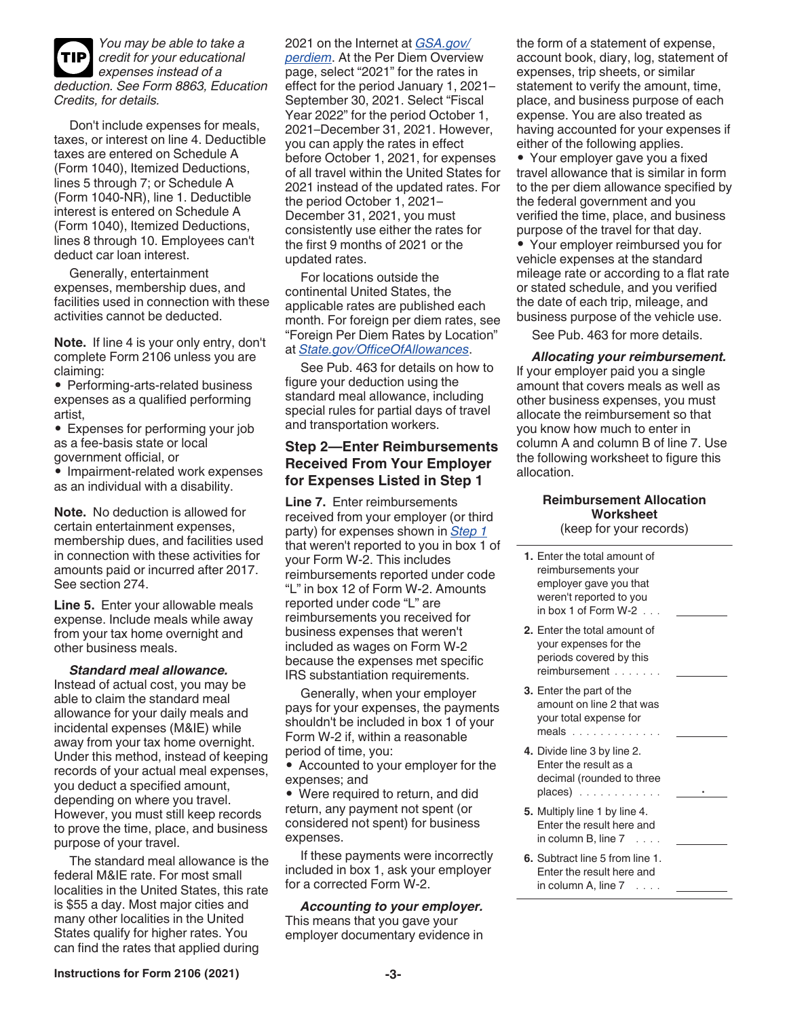

Don't include expenses for meals, taxes, or interest on line 4. Deductible taxes are entered on Schedule A (Form 1040), Itemized Deductions, lines 5 through 7; or Schedule A (Form 1040-NR), line 1. Deductible interest is entered on Schedule A (Form 1040), Itemized Deductions, lines 8 through 10. Employees can't deduct car loan interest.

Generally, entertainment expenses, membership dues, and facilities used in connection with these activities cannot be deducted.

**Note.** If line 4 is your only entry, don't complete Form 2106 unless you are claiming:

• Performing-arts-related business expenses as a qualified performing artist,

• Expenses for performing your job as a fee-basis state or local government official, or

• Impairment-related work expenses as an individual with a disability.

**Note.** No deduction is allowed for certain entertainment expenses, membership dues, and facilities used in connection with these activities for amounts paid or incurred after 2017. See section 274.

**Line 5.** Enter your allowable meals expense. Include meals while away from your tax home overnight and other business meals.

#### *Standard meal allowance.*

Instead of actual cost, you may be able to claim the standard meal allowance for your daily meals and incidental expenses (M&IE) while away from your tax home overnight. Under this method, instead of keeping records of your actual meal expenses, you deduct a specified amount, depending on where you travel. However, you must still keep records to prove the time, place, and business purpose of your travel.

The standard meal allowance is the federal M&IE rate. For most small localities in the United States, this rate is \$55 a day. Most major cities and many other localities in the United States qualify for higher rates. You can find the rates that applied during

2021 on the Internet at *[GSA.gov/](http://www.gsa.gov/perdiem) [perdiem](http://www.gsa.gov/perdiem)*. At the Per Diem Overview page, select "2021" for the rates in effect for the period January 1, 2021– September 30, 2021. Select "Fiscal Year 2022" for the period October 1, 2021–December 31, 2021. However, you can apply the rates in effect before October 1, 2021, for expenses of all travel within the United States for 2021 instead of the updated rates. For the period October 1, 2021– December 31, 2021, you must consistently use either the rates for the first 9 months of 2021 or the updated rates.

For locations outside the continental United States, the applicable rates are published each month. For foreign per diem rates, see "Foreign Per Diem Rates by Location" at *[State.gov/OfficeOfAllowances](https://aoprals.state.gov/content.asp?content_id=184&menu_id=78)*.

See Pub. 463 for details on how to figure your deduction using the standard meal allowance, including special rules for partial days of travel and transportation workers.

# **Step 2—Enter Reimbursements Received From Your Employer for Expenses Listed in Step 1**

**Line 7.** Enter reimbursements received from your employer (or third party) for expenses shown in *Step 1*  that weren't reported to you in box 1 of your Form W-2. This includes reimbursements reported under code "L" in box 12 of Form W-2. Amounts reported under code "L" are reimbursements you received for business expenses that weren't included as wages on Form W-2 because the expenses met specific IRS substantiation requirements.

Generally, when your employer pays for your expenses, the payments shouldn't be included in box 1 of your Form W-2 if, within a reasonable period of time, you:

• Accounted to your employer for the expenses; and

• Were required to return, and did return, any payment not spent (or considered not spent) for business expenses.

If these payments were incorrectly included in box 1, ask your employer for a corrected Form W-2.

*Accounting to your employer.*  This means that you gave your employer documentary evidence in the form of a statement of expense, account book, diary, log, statement of expenses, trip sheets, or similar statement to verify the amount, time, place, and business purpose of each expense. You are also treated as having accounted for your expenses if either of the following applies.

• Your employer gave you a fixed travel allowance that is similar in form to the per diem allowance specified by the federal government and you verified the time, place, and business purpose of the travel for that day.

• Your employer reimbursed you for vehicle expenses at the standard mileage rate or according to a flat rate or stated schedule, and you verified the date of each trip, mileage, and business purpose of the vehicle use.

See Pub. 463 for more details.

*Allocating your reimbursement.*  If your employer paid you a single amount that covers meals as well as other business expenses, you must allocate the reimbursement so that you know how much to enter in column A and column B of line 7. Use the following worksheet to figure this allocation.

# **Reimbursement Allocation Worksheet**

(keep for your records)

- **1.** Enter the total amount of reimbursements your employer gave you that weren't reported to you in box 1 of Form W-2 ...
- **2.** Enter the total amount of your expenses for the periods covered by this reimbursement . . . . . . .
- **3.** Enter the part of the amount on line 2 that was your total expense for meals .............
- **4.** Divide line 3 by line 2. Enter the result as a decimal (rounded to three places) . . . . . . . . . . . .

**.**

- **5.** Multiply line 1 by line 4. Enter the result here and in column B, line 7
- **6.** Subtract line 5 from line 1. Enter the result here and in column A, line  $7 \ldots$ .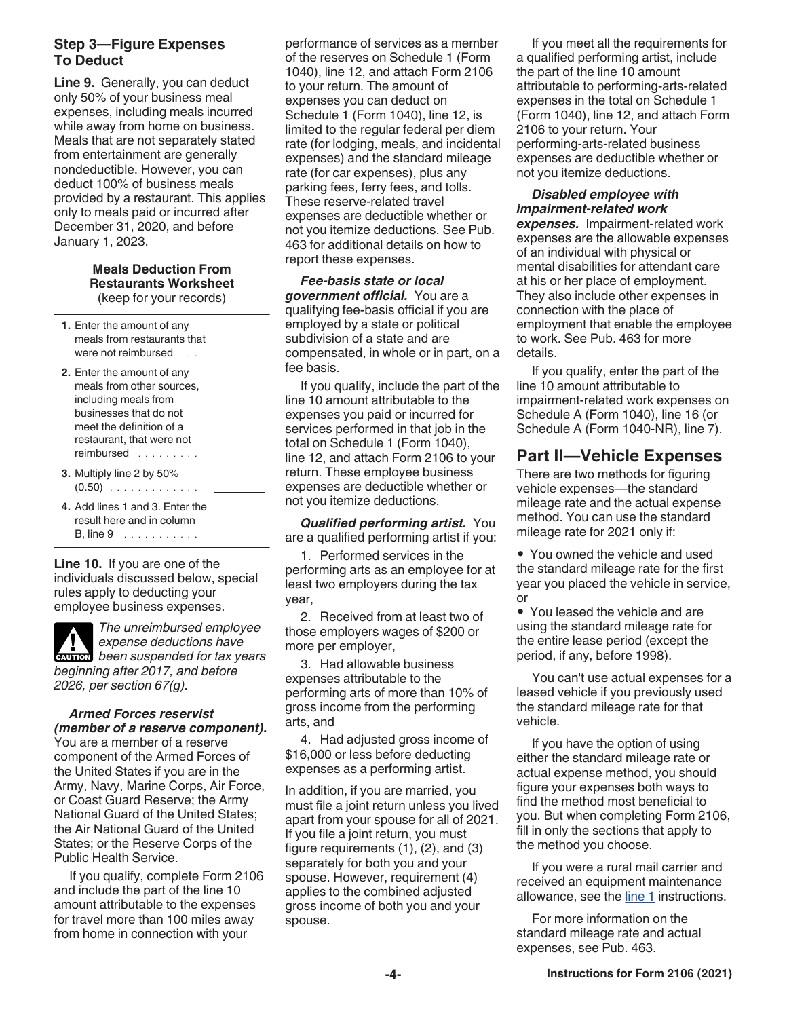# **Step 3—Figure Expenses To Deduct**

**Line 9.** Generally, you can deduct only 50% of your business meal expenses, including meals incurred while away from home on business. Meals that are not separately stated from entertainment are generally nondeductible. However, you can deduct 100% of business meals provided by a restaurant. This applies only to meals paid or incurred after December 31, 2020, and before January 1, 2023.

#### **Meals Deduction From Restaurants Worksheet** (keep for your records)

**1.** Enter the amount of any meals from restaurants that were not reimbursed

**2.** Enter the amount of any meals from other sources, including meals from businesses that do not meet the definition of a restaurant, that were not reimbursed .........

- **3.** Multiply line 2 by 50%  $(0.50)$  ..............
- **4.** Add lines 1 and 3. Enter the result here and in column B, line 9 ...........

**Line 10.** If you are one of the individuals discussed below, special rules apply to deducting your employee business expenses.



*The unreimbursed employee expense deductions have*  **dexpense deductions have**<br> **CAUTION** been suspended for tax years *beginning after 2017, and before 2026, per section 67(g).*

#### *Armed Forces reservist (member of a reserve component).*

You are a member of a reserve component of the Armed Forces of the United States if you are in the Army, Navy, Marine Corps, Air Force, or Coast Guard Reserve; the Army National Guard of the United States; the Air National Guard of the United States; or the Reserve Corps of the Public Health Service.

If you qualify, complete Form 2106 and include the part of the line 10 amount attributable to the expenses for travel more than 100 miles away from home in connection with your

performance of services as a member of the reserves on Schedule 1 (Form 1040), line 12, and attach Form 2106 to your return. The amount of expenses you can deduct on Schedule 1 (Form 1040), line 12, is limited to the regular federal per diem rate (for lodging, meals, and incidental expenses) and the standard mileage rate (for car expenses), plus any parking fees, ferry fees, and tolls. These reserve-related travel expenses are deductible whether or not you itemize deductions. See Pub. 463 for additional details on how to report these expenses.

*Fee-basis state or local government official.* You are a qualifying fee-basis official if you are employed by a state or political subdivision of a state and are compensated, in whole or in part, on a fee basis.

If you qualify, include the part of the line 10 amount attributable to the expenses you paid or incurred for services performed in that job in the total on Schedule 1 (Form 1040), line 12, and attach Form 2106 to your return. These employee business expenses are deductible whether or not you itemize deductions.

*Qualified performing artist.* You are a qualified performing artist if you:

1. Performed services in the performing arts as an employee for at least two employers during the tax year,

2. Received from at least two of those employers wages of \$200 or more per employer,

3. Had allowable business expenses attributable to the performing arts of more than 10% of gross income from the performing arts, and

4. Had adjusted gross income of \$16,000 or less before deducting expenses as a performing artist.

In addition, if you are married, you must file a joint return unless you lived apart from your spouse for all of 2021. If you file a joint return, you must figure requirements (1), (2), and (3) separately for both you and your spouse. However, requirement (4) applies to the combined adjusted gross income of both you and your spouse.

If you meet all the requirements for a qualified performing artist, include the part of the line 10 amount attributable to performing-arts-related expenses in the total on Schedule 1 (Form 1040), line 12, and attach Form 2106 to your return. Your performing-arts-related business expenses are deductible whether or not you itemize deductions.

*Disabled employee with impairment-related work* 

*expenses.* Impairment-related work expenses are the allowable expenses of an individual with physical or mental disabilities for attendant care at his or her place of employment. They also include other expenses in connection with the place of employment that enable the employee to work. See Pub. 463 for more details.

If you qualify, enter the part of the line 10 amount attributable to impairment-related work expenses on Schedule A (Form 1040), line 16 (or Schedule A (Form 1040-NR), line 7).

# **Part II—Vehicle Expenses**

There are two methods for figuring vehicle expenses—the standard mileage rate and the actual expense method. You can use the standard mileage rate for 2021 only if:

• You owned the vehicle and used the standard mileage rate for the first year you placed the vehicle in service, or

• You leased the vehicle and are using the standard mileage rate for the entire lease period (except the period, if any, before 1998).

You can't use actual expenses for a leased vehicle if you previously used the standard mileage rate for that vehicle.

If you have the option of using either the standard mileage rate or actual expense method, you should figure your expenses both ways to find the method most beneficial to you. But when completing Form 2106, fill in only the sections that apply to the method you choose.

If you were a rural mail carrier and received an equipment maintenance allowance, see the line 1 instructions.

For more information on the standard mileage rate and actual expenses, see Pub. 463.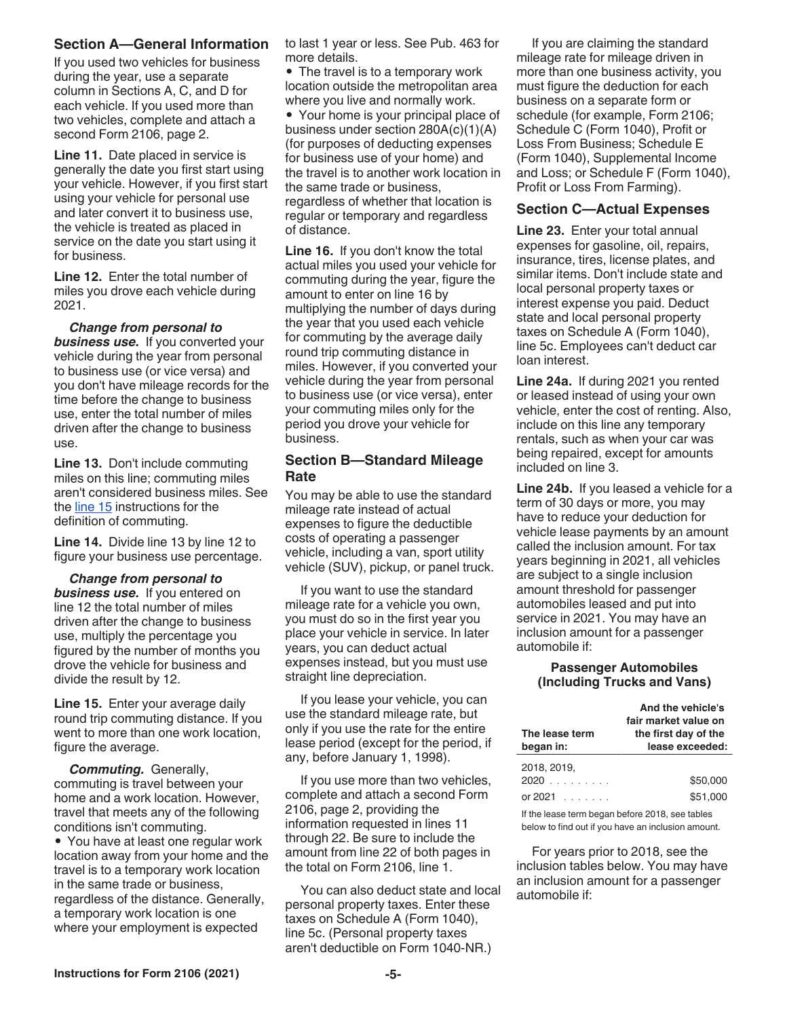# **Section A—General Information**

If you used two vehicles for business during the year, use a separate column in Sections A, C, and D for each vehicle. If you used more than two vehicles, complete and attach a second Form 2106, page 2.

**Line 11.** Date placed in service is generally the date you first start using your vehicle. However, if you first start using your vehicle for personal use and later convert it to business use, the vehicle is treated as placed in service on the date you start using it for business.

**Line 12.** Enter the total number of miles you drove each vehicle during 2021.

*Change from personal to*  **business use.** If you converted your vehicle during the year from personal to business use (or vice versa) and you don't have mileage records for the time before the change to business use, enter the total number of miles driven after the change to business use.

**Line 13.** Don't include commuting miles on this line; commuting miles aren't considered business miles. See the line 15 instructions for the definition of commuting.

**Line 14.** Divide line 13 by line 12 to figure your business use percentage.

#### *Change from personal to*

**business use.** If you entered on line 12 the total number of miles driven after the change to business use, multiply the percentage you figured by the number of months you drove the vehicle for business and divide the result by 12.

**Line 15.** Enter your average daily round trip commuting distance. If you went to more than one work location, figure the average.

*Commuting.* Generally, commuting is travel between your home and a work location. However, travel that meets any of the following conditions isn't commuting.

• You have at least one regular work location away from your home and the travel is to a temporary work location in the same trade or business, regardless of the distance. Generally, a temporary work location is one where your employment is expected

to last 1 year or less. See Pub. 463 for more details.

• The travel is to a temporary work location outside the metropolitan area where you live and normally work. • Your home is your principal place of business under section 280A(c)(1)(A) (for purposes of deducting expenses for business use of your home) and the travel is to another work location in the same trade or business, regardless of whether that location is regular or temporary and regardless of distance.

**Line 16.** If you don't know the total actual miles you used your vehicle for commuting during the year, figure the amount to enter on line 16 by multiplying the number of days during the year that you used each vehicle for commuting by the average daily round trip commuting distance in miles. However, if you converted your vehicle during the year from personal to business use (or vice versa), enter your commuting miles only for the period you drove your vehicle for business.

# **Section B—Standard Mileage Rate**

You may be able to use the standard mileage rate instead of actual expenses to figure the deductible costs of operating a passenger vehicle, including a van, sport utility vehicle (SUV), pickup, or panel truck.

If you want to use the standard mileage rate for a vehicle you own, you must do so in the first year you place your vehicle in service. In later years, you can deduct actual expenses instead, but you must use straight line depreciation.

If you lease your vehicle, you can use the standard mileage rate, but only if you use the rate for the entire lease period (except for the period, if any, before January 1, 1998).

If you use more than two vehicles, complete and attach a second Form 2106, page 2, providing the information requested in lines 11 through 22. Be sure to include the amount from line 22 of both pages in the total on Form 2106, line 1.

You can also deduct state and local personal property taxes. Enter these taxes on Schedule A (Form 1040), line 5c. (Personal property taxes aren't deductible on Form 1040-NR.)

If you are claiming the standard mileage rate for mileage driven in more than one business activity, you must figure the deduction for each business on a separate form or schedule (for example, Form 2106; Schedule C (Form 1040), Profit or Loss From Business; Schedule E (Form 1040), Supplemental Income and Loss; or Schedule F (Form 1040), Profit or Loss From Farming).

### **Section C—Actual Expenses**

**Line 23.** Enter your total annual expenses for gasoline, oil, repairs, insurance, tires, license plates, and similar items. Don't include state and local personal property taxes or interest expense you paid. Deduct state and local personal property taxes on Schedule A (Form 1040), line 5c. Employees can't deduct car loan interest.

**Line 24a.** If during 2021 you rented or leased instead of using your own vehicle, enter the cost of renting. Also, include on this line any temporary rentals, such as when your car was being repaired, except for amounts included on line 3.

**Line 24b.** If you leased a vehicle for a term of 30 days or more, you may have to reduce your deduction for vehicle lease payments by an amount called the inclusion amount. For tax years beginning in 2021, all vehicles are subject to a single inclusion amount threshold for passenger automobiles leased and put into service in 2021. You may have an inclusion amount for a passenger automobile if:

#### **Passenger Automobiles (Including Trucks and Vans)**

| The lease term<br>began in:                     | And the vehicle's<br>fair market value on<br>the first day of the<br>lease exceeded: |
|-------------------------------------------------|--------------------------------------------------------------------------------------|
| 2018.2019.                                      |                                                                                      |
| $2020$                                          | \$50,000                                                                             |
| or $2021$                                       | \$51,000                                                                             |
| If the lease term began before 2018, see tables |                                                                                      |

If the lease term began before 2018, see tables below to find out if you have an inclusion amount.

For years prior to 2018, see the inclusion tables below. You may have an inclusion amount for a passenger automobile if: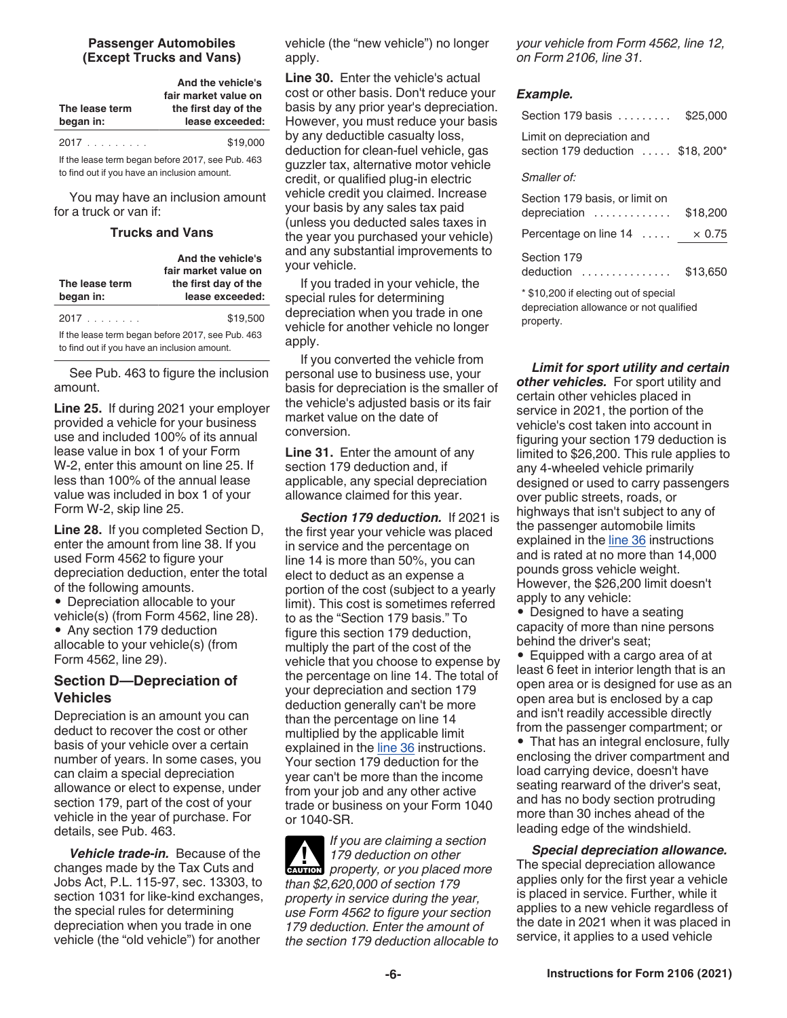### **Passenger Automobiles (Except Trucks and Vans)**

| The lease term | And the vehicle's<br>fair market value on<br>the first day of the |  |  |
|----------------|-------------------------------------------------------------------|--|--|
| began in:      | lease exceeded:                                                   |  |  |
| $2017$         | \$19,000                                                          |  |  |
|                | If the lease to see heaven before $0.047$ and $0.06$              |  |  |

If the lease term began before 2017, see Pub. 463 to find out if you have an inclusion amount.

You may have an inclusion amount for a truck or van if:

# **Trucks and Vans**

| The lease term<br>began in:                                                                       | And the vehicle's<br>fair market value on<br>the first day of the<br>lease exceeded: |  |
|---------------------------------------------------------------------------------------------------|--------------------------------------------------------------------------------------|--|
| 2017                                                                                              | \$19,500                                                                             |  |
| If the lease term began before 2017, see Pub. 463<br>to find out if you have an inclusion amount. |                                                                                      |  |

See Pub. 463 to figure the inclusion amount.

**Line 25.** If during 2021 your employer provided a vehicle for your business use and included 100% of its annual lease value in box 1 of your Form W-2, enter this amount on line 25. If less than 100% of the annual lease value was included in box 1 of your Form W-2, skip line 25.

**Line 28.** If you completed Section D, enter the amount from line 38. If you used Form 4562 to figure your depreciation deduction, enter the total of the following amounts.

• Depreciation allocable to your vehicle(s) (from Form 4562, line 28).

• Any section 179 deduction allocable to your vehicle(s) (from Form 4562, line 29).

# **Section D—Depreciation of Vehicles**

Depreciation is an amount you can deduct to recover the cost or other basis of your vehicle over a certain number of years. In some cases, you can claim a special depreciation allowance or elect to expense, under section 179, part of the cost of your vehicle in the year of purchase. For details, see Pub. 463.

*Vehicle trade-in.* Because of the changes made by the Tax Cuts and Jobs Act, P.L. 115-97, sec. 13303, to section 1031 for like-kind exchanges, the special rules for determining depreciation when you trade in one vehicle (the "old vehicle") for another

vehicle (the "new vehicle") no longer apply.

**Line 30.** Enter the vehicle's actual cost or other basis. Don't reduce your basis by any prior year's depreciation. However, you must reduce your basis by any deductible casualty loss, deduction for clean-fuel vehicle, gas guzzler tax, alternative motor vehicle credit, or qualified plug-in electric vehicle credit you claimed. Increase your basis by any sales tax paid (unless you deducted sales taxes in the year you purchased your vehicle) and any substantial improvements to your vehicle.

If you traded in your vehicle, the special rules for determining depreciation when you trade in one vehicle for another vehicle no longer apply.

If you converted the vehicle from personal use to business use, your basis for depreciation is the smaller of the vehicle's adjusted basis or its fair market value on the date of conversion.

**Line 31.** Enter the amount of any section 179 deduction and, if applicable, any special depreciation allowance claimed for this year.

*Section 179 deduction.* If 2021 is the first year your vehicle was placed in service and the percentage on line 14 is more than 50%, you can elect to deduct as an expense a portion of the cost (subject to a yearly limit). This cost is sometimes referred to as the "Section 179 basis." To figure this section 179 deduction, multiply the part of the cost of the vehicle that you choose to expense by the percentage on line 14. The total of your depreciation and section 179 deduction generally can't be more than the percentage on line 14 multiplied by the applicable limit explained in the line 36 instructions. Your section 179 deduction for the year can't be more than the income from your job and any other active trade or business on your Form 1040 or 1040-SR.

*If you are claiming a section 179 deduction on other property, or you placed more*<br> **Property, or you placed more** *than \$2,620,000 of section 179 property in service during the year, use Form 4562 to figure your section 179 deduction. Enter the amount of the section 179 deduction allocable to*  *your vehicle from Form 4562, line 12, on Form 2106, line 31.*

#### *Example.*

| Section 179 basis  \$25,000                                            |  |
|------------------------------------------------------------------------|--|
| Limit on depreciation and<br>section 179 deduction $\ldots$ \$18, 200* |  |
| Smaller of:                                                            |  |

| Section 179 basis, or limit on<br>depreciation | \$18,200 |
|------------------------------------------------|----------|
| Percentage on line $14$ $\times 0.75$          |          |
| Section 179<br>$deduction$                     | \$13,650 |

\* \$10,200 if electing out of special depreciation allowance or not qualified property.

*Limit for sport utility and certain other vehicles.* For sport utility and certain other vehicles placed in service in 2021, the portion of the vehicle's cost taken into account in figuring your section 179 deduction is limited to \$26,200. This rule applies to any 4-wheeled vehicle primarily designed or used to carry passengers over public streets, roads, or highways that isn't subject to any of the passenger automobile limits explained in the line 36 instructions and is rated at no more than 14,000 pounds gross vehicle weight. However, the \$26,200 limit doesn't apply to any vehicle:

• Designed to have a seating capacity of more than nine persons behind the driver's seat;

• Equipped with a cargo area of at least 6 feet in interior length that is an open area or is designed for use as an open area but is enclosed by a cap and isn't readily accessible directly from the passenger compartment; or

• That has an integral enclosure, fully enclosing the driver compartment and load carrying device, doesn't have seating rearward of the driver's seat, and has no body section protruding more than 30 inches ahead of the leading edge of the windshield.

*Special depreciation allowance.*  The special depreciation allowance applies only for the first year a vehicle is placed in service. Further, while it applies to a new vehicle regardless of the date in 2021 when it was placed in service, it applies to a used vehicle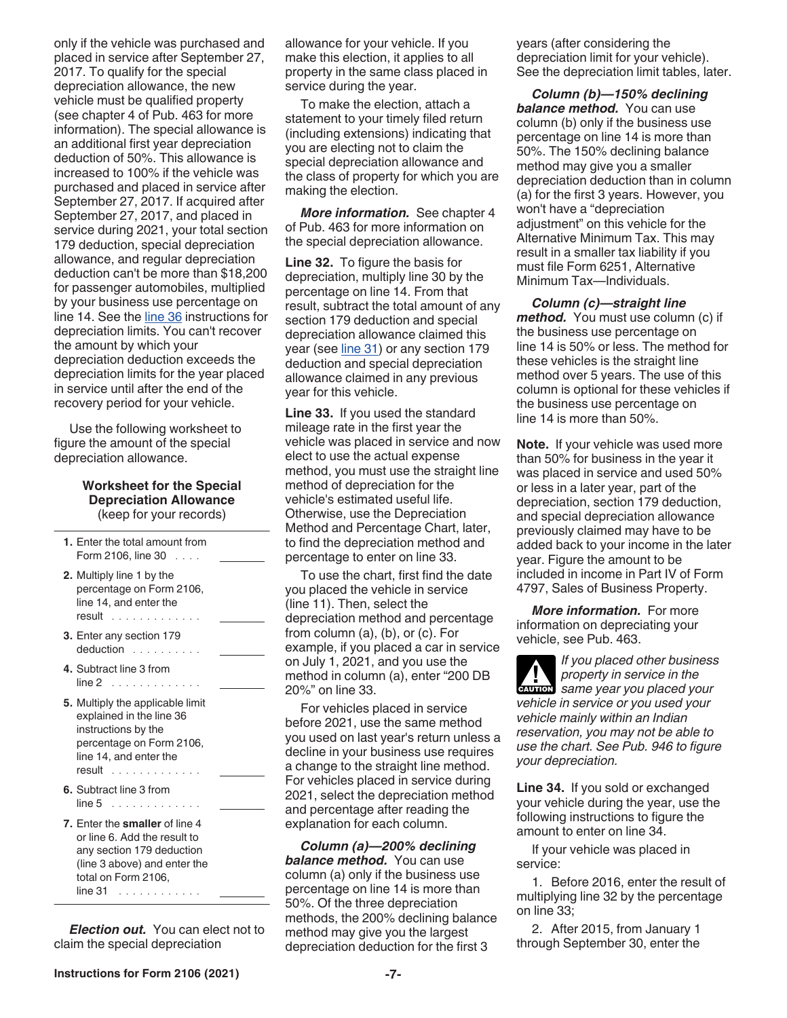only if the vehicle was purchased and placed in service after September 27, 2017. To qualify for the special depreciation allowance, the new vehicle must be qualified property (see chapter 4 of Pub. 463 for more information). The special allowance is an additional first year depreciation deduction of 50%. This allowance is increased to 100% if the vehicle was purchased and placed in service after September 27, 2017. If acquired after September 27, 2017, and placed in service during 2021, your total section 179 deduction, special depreciation allowance, and regular depreciation deduction can't be more than \$18,200 for passenger automobiles, multiplied by your business use percentage on line 14. See the line 36 instructions for depreciation limits. You can't recover the amount by which your depreciation deduction exceeds the depreciation limits for the year placed in service until after the end of the recovery period for your vehicle.

Use the following worksheet to figure the amount of the special depreciation allowance.

#### **Worksheet for the Special Depreciation Allowance** (keep for your records)

| 1. Enter the total amount from<br>Form 2106, line 30                                                                                                          |  |
|---------------------------------------------------------------------------------------------------------------------------------------------------------------|--|
| 2. Multiply line 1 by the<br>percentage on Form 2106,<br>line 14, and enter the<br><b>result</b>                                                              |  |
| 3. Enter any section 179<br>deduction                                                                                                                         |  |
| 4. Subtract line 3 from<br>$line 2$                                                                                                                           |  |
| 5. Multiply the applicable limit<br>explained in the line 36<br>instructions by the<br>percentage on Form 2106,<br>line 14, and enter the<br>result           |  |
| 6. Subtract line 3 from<br>$line 5$                                                                                                                           |  |
| 7. Enter the smaller of line 4<br>or line 6. Add the result to<br>any section 179 deduction<br>(line 3 above) and enter the<br>total on Form 2106,<br>line 31 |  |

*Election out.* You can elect not to claim the special depreciation

allowance for your vehicle. If you make this election, it applies to all property in the same class placed in service during the year.

To make the election, attach a statement to your timely filed return (including extensions) indicating that you are electing not to claim the special depreciation allowance and the class of property for which you are making the election.

*More information.* See chapter 4 of Pub. 463 for more information on the special depreciation allowance.

**Line 32.** To figure the basis for depreciation, multiply line 30 by the percentage on line 14. From that result, subtract the total amount of any section 179 deduction and special depreciation allowance claimed this year (see line 31) or any section 179 deduction and special depreciation allowance claimed in any previous year for this vehicle.

**Line 33.** If you used the standard mileage rate in the first year the vehicle was placed in service and now elect to use the actual expense method, you must use the straight line method of depreciation for the vehicle's estimated useful life. Otherwise, use the Depreciation Method and Percentage Chart, later, to find the depreciation method and percentage to enter on line 33.

To use the chart, first find the date you placed the vehicle in service (line 11). Then, select the depreciation method and percentage from column (a), (b), or (c). For example, if you placed a car in service on July 1, 2021, and you use the method in column (a), enter "200 DB 20%" on line 33.

For vehicles placed in service before 2021, use the same method you used on last year's return unless a decline in your business use requires a change to the straight line method. For vehicles placed in service during 2021, select the depreciation method and percentage after reading the explanation for each column.

*Column (a)—200% declining*  **balance method.** You can use column (a) only if the business use percentage on line 14 is more than 50%. Of the three depreciation methods, the 200% declining balance method may give you the largest depreciation deduction for the first 3

years (after considering the depreciation limit for your vehicle). See the depreciation limit tables, later.

*Column (b)—150% declining balance method.* You can use column (b) only if the business use percentage on line 14 is more than 50%. The 150% declining balance method may give you a smaller depreciation deduction than in column (a) for the first 3 years. However, you won't have a "depreciation adjustment" on this vehicle for the Alternative Minimum Tax. This may result in a smaller tax liability if you must file Form 6251, Alternative Minimum Tax—Individuals.

*Column (c)—straight line method.* You must use column (c) if the business use percentage on line 14 is 50% or less. The method for these vehicles is the straight line method over 5 years. The use of this column is optional for these vehicles if the business use percentage on line 14 is more than 50%.

**Note.** If your vehicle was used more than 50% for business in the year it was placed in service and used 50% or less in a later year, part of the depreciation, section 179 deduction, and special depreciation allowance previously claimed may have to be added back to your income in the later year. Figure the amount to be included in income in Part IV of Form 4797, Sales of Business Property.

*More information.* For more information on depreciating your vehicle, see Pub. 463.

*If you placed other business property in service in the*  **c** property in service in the<br> **CAUTION** Same year you placed your *vehicle in service or you used your vehicle mainly within an Indian reservation, you may not be able to use the chart. See Pub. 946 to figure your depreciation.*

**Line 34.** If you sold or exchanged your vehicle during the year, use the following instructions to figure the amount to enter on line 34.

If your vehicle was placed in service:

1. Before 2016, enter the result of multiplying line 32 by the percentage on line 33;

2. After 2015, from January 1 through September 30, enter the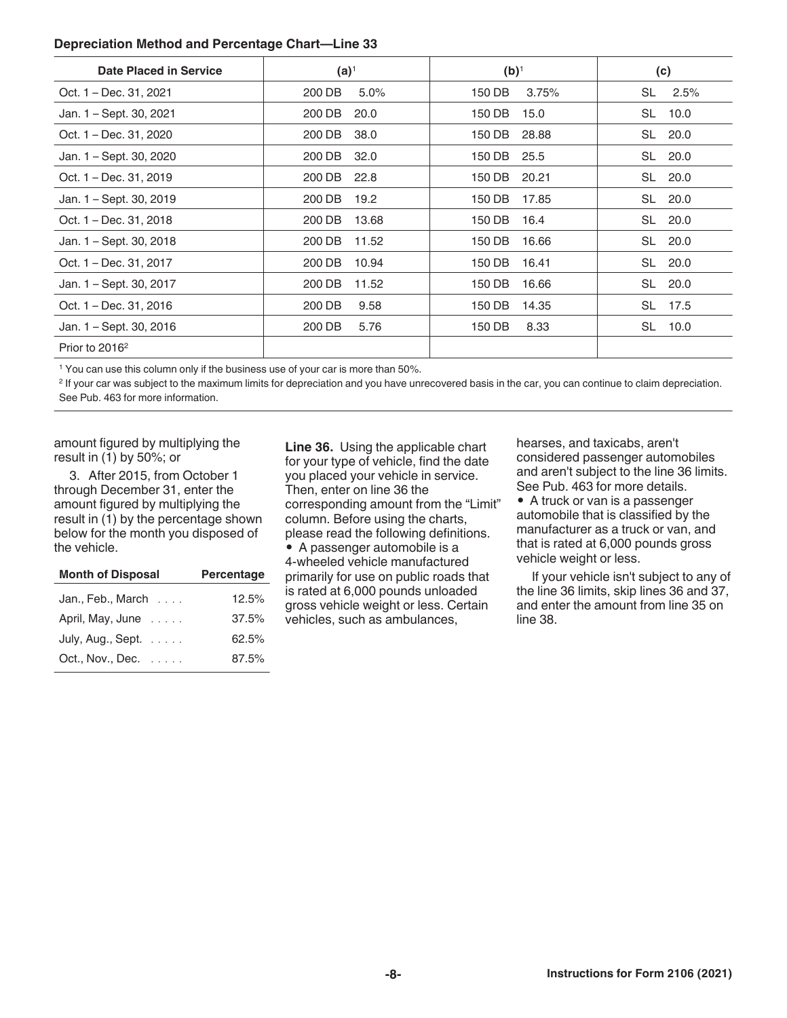#### **Depreciation Method and Percentage Chart—Line 33**

| Date Placed in Service  | $(a)^1$         | $(b)^1$         | (c)        |
|-------------------------|-----------------|-----------------|------------|
| Oct. 1 – Dec. 31, 2021  | 5.0%<br>200 DB  | 150 DB<br>3.75% | SL<br>2.5% |
| Jan. 1 - Sept. 30, 2021 | 200 DB<br>20.0  | 150 DB<br>15.0  | 10.0<br>SL |
| Oct. 1 – Dec. 31, 2020  | 200 DB<br>38.0  | 150 DB<br>28.88 | SL 20.0    |
| Jan. 1 – Sept. 30, 2020 | 200 DB<br>32.0  | 150 DB 25.5     | SL 20.0    |
| Oct. 1 – Dec. 31, 2019  | 200 DB<br>22.8  | 150 DB<br>20.21 | SL 20.0    |
| Jan. 1 - Sept. 30, 2019 | 200 DB<br>19.2  | 150 DB<br>17.85 | SL 20.0    |
| Oct. 1 – Dec. 31, 2018  | 200 DB<br>13.68 | 150 DB<br>16.4  | SL 20.0    |
| Jan. 1 - Sept. 30, 2018 | 200 DB<br>11.52 | 150 DB<br>16.66 | SL 20.0    |
| Oct. 1 – Dec. 31, 2017  | 200 DB<br>10.94 | 150 DB<br>16.41 | SL 20.0    |
| Jan. 1 - Sept. 30, 2017 | 200 DB<br>11.52 | 150 DB<br>16.66 | SL 20.0    |
| Oct. 1 – Dec. 31, 2016  | 200 DB<br>9.58  | 150 DB<br>14.35 | SL<br>17.5 |
| Jan. 1 - Sept. 30, 2016 | 200 DB<br>5.76  | 150 DB<br>8.33  | 10.0<br>SL |
| Prior to $2016^2$       |                 |                 |            |

<sup>1</sup> You can use this column only if the business use of your car is more than 50%.

<sup>2</sup> If your car was subject to the maximum limits for depreciation and you have unrecovered basis in the car, you can continue to claim depreciation. See Pub. 463 for more information.

amount figured by multiplying the result in (1) by 50%; or

3. After 2015, from October 1 through December 31, enter the amount figured by multiplying the result in (1) by the percentage shown below for the month you disposed of the vehicle.

| <b>Month of Disposal</b>    | Percentage |
|-----------------------------|------------|
| Jan., Feb., March $\dots$   | 12.5%      |
| April, May, June            | 37.5%      |
| July, Aug., Sept.           | 62.5%      |
| Oct., Nov., Dec. $\ldots$ . | 87.5%      |

**Line 36.** Using the applicable chart for your type of vehicle, find the date you placed your vehicle in service. Then, enter on line 36 the corresponding amount from the "Limit" column. Before using the charts, please read the following definitions.

• A passenger automobile is a 4-wheeled vehicle manufactured primarily for use on public roads that is rated at 6,000 pounds unloaded gross vehicle weight or less. Certain vehicles, such as ambulances,

hearses, and taxicabs, aren't considered passenger automobiles and aren't subject to the line 36 limits. See Pub. 463 for more details.

• A truck or van is a passenger automobile that is classified by the manufacturer as a truck or van, and that is rated at 6,000 pounds gross vehicle weight or less.

If your vehicle isn't subject to any of the line 36 limits, skip lines 36 and 37, and enter the amount from line 35 on line 38.